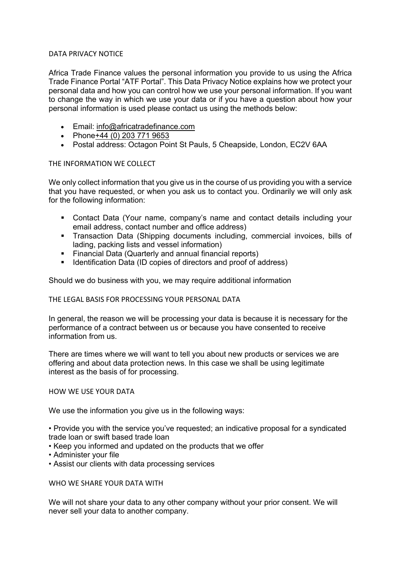## DATA PRIVACY NOTICE

Africa Trade Finance values the personal information you provide to us using the Africa Trade Finance Portal "ATF Portal". This Data Privacy Notice explains how we protect your personal data and how you can control how we use your personal information. If you want to change the way in which we use your data or if you have a question about how your personal information is used please contact us using the methods below:

- Email: info@africatradefinance.com
- Phone+44 (0) 203 771 9653
- Postal address: Octagon Point St Pauls, 5 Cheapside, London, EC2V 6AA

## THE INFORMATION WE COLLECT

We only collect information that you give us in the course of us providing you with a service that you have requested, or when you ask us to contact you. Ordinarily we will only ask for the following information:

- § Contact Data (Your name, company's name and contact details including your email address, contact number and office address)
- § Transaction Data (Shipping documents including, commercial invoices, bills of lading, packing lists and vessel information)
- Financial Data (Quarterly and annual financial reports)
- Identification Data (ID copies of directors and proof of address)

Should we do business with you, we may require additional information

### THE LEGAL BASIS FOR PROCESSING YOUR PERSONAL DATA

In general, the reason we will be processing your data is because it is necessary for the performance of a contract between us or because you have consented to receive information from us.

There are times where we will want to tell you about new products or services we are offering and about data protection news. In this case we shall be using legitimate interest as the basis of for processing.

### HOW WE USE YOUR DATA

We use the information you give us in the following ways:

• Provide you with the service you've requested; an indicative proposal for a syndicated trade loan or swift based trade loan

- Keep you informed and updated on the products that we offer
- Administer your file
- Assist our clients with data processing services

### WHO WE SHARE YOUR DATA WITH

We will not share your data to any other company without your prior consent. We will never sell your data to another company.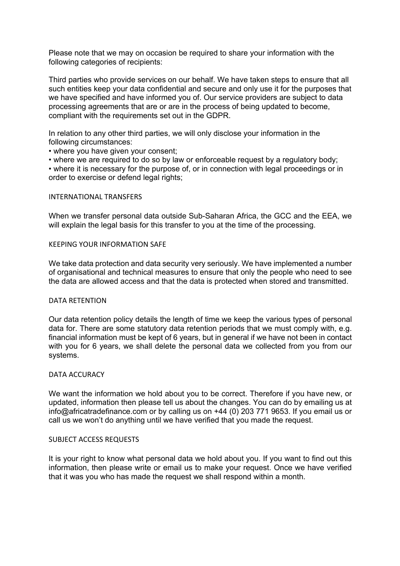Please note that we may on occasion be required to share your information with the following categories of recipients:

Third parties who provide services on our behalf. We have taken steps to ensure that all such entities keep your data confidential and secure and only use it for the purposes that we have specified and have informed you of. Our service providers are subject to data processing agreements that are or are in the process of being updated to become, compliant with the requirements set out in the GDPR.

In relation to any other third parties, we will only disclose your information in the following circumstances:

• where you have given your consent;

• where we are required to do so by law or enforceable request by a requiatory body;

• where it is necessary for the purpose of, or in connection with legal proceedings or in order to exercise or defend legal rights;

# INTERNATIONAL TRANSFERS

When we transfer personal data outside Sub-Saharan Africa, the GCC and the EEA, we will explain the legal basis for this transfer to you at the time of the processing.

### KEEPING YOUR INFORMATION SAFE

We take data protection and data security very seriously. We have implemented a number of organisational and technical measures to ensure that only the people who need to see the data are allowed access and that the data is protected when stored and transmitted.

### DATA RETENTION

Our data retention policy details the length of time we keep the various types of personal data for. There are some statutory data retention periods that we must comply with, e.g. financial information must be kept of 6 years, but in general if we have not been in contact with you for 6 years, we shall delete the personal data we collected from you from our systems.

### DATA ACCURACY

We want the information we hold about you to be correct. Therefore if you have new, or updated, information then please tell us about the changes. You can do by emailing us at info@africatradefinance.com or by calling us on +44 (0) 203 771 9653. If you email us or call us we won't do anything until we have verified that you made the request.

### SUBJECT ACCESS REQUESTS

It is your right to know what personal data we hold about you. If you want to find out this information, then please write or email us to make your request. Once we have verified that it was you who has made the request we shall respond within a month.